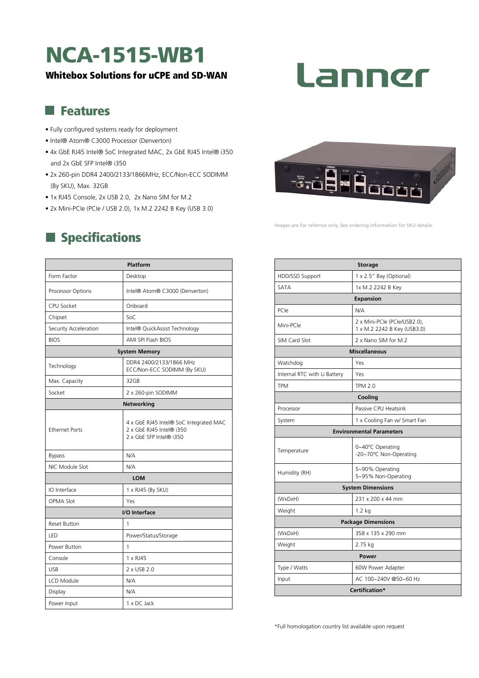# NCA-1515-WB1

#### Whitebox Solutions for uCPE and SD-WAN

# Lanner

#### **Features**

- Fully configured systems ready for deployment
- Intel® Atom® C3000 Processor (Denverton)
- 4x GbE RJ45 Intel® SoC Integrated MAC, 2x GbE RJ45 Intel® i350 and 2x GbE SFP Intel® i350
- 2x 260-pin DDR4 2400/2133/1866MHz, ECC/Non-ECC SODIMM (By SKU), Max. 32GB
- 1x RJ45 Console, 2x USB 2.0, 2x Nano SIM for M.2
- 2x Mini-PCIe (PCIe / USB 2.0), 1x M.2 2242 B Key (USB 3.0)

## **Specifications**

| <b>Platform</b>       |                                                                                               |  |
|-----------------------|-----------------------------------------------------------------------------------------------|--|
| Form Factor           | Desktop                                                                                       |  |
| Processor Options     | Intel® Atom® C3000 (Denverton)                                                                |  |
| CPU Socket            | Onboard                                                                                       |  |
| Chipset               | SoC                                                                                           |  |
| Security Acceleration | Intel® QuickAssist Technology                                                                 |  |
| <b>BIOS</b>           | AMI SPI Flash BIOS                                                                            |  |
| <b>System Memory</b>  |                                                                                               |  |
| Technology            | DDR4 2400/2133/1866 MHz<br>ECC/Non-ECC SODIMM (By SKU)                                        |  |
| Max. Capacity         | 32GB                                                                                          |  |
| Socket                | 2 x 260-pin SODIMM                                                                            |  |
| <b>Networking</b>     |                                                                                               |  |
| <b>Ethernet Ports</b> | 4 x GbE RJ45 Intel® SoC Integrated MAC<br>2 x GbE RJ45 Intel® i350<br>2 x GbE SFP Intel® i350 |  |
| <b>Bypass</b>         | N/A                                                                                           |  |
| NIC Module Slot       | N/A                                                                                           |  |
| <b>LOM</b>            |                                                                                               |  |
| IO Interface          | 1 x RJ45 (By SKU)                                                                             |  |
| OPMA Slot             | Yes                                                                                           |  |
| I/O Interface         |                                                                                               |  |
| <b>Reset Button</b>   | 1                                                                                             |  |
| LED                   | Power/Status/Storage                                                                          |  |
| Power Button          | 1                                                                                             |  |
| Console               | 1 x RJ45                                                                                      |  |
| <b>USB</b>            | 2 x USB 2.0                                                                                   |  |
| LCD Module            | N/A                                                                                           |  |
| Display               | N/A                                                                                           |  |
| Power Input           | 1 x DC Jack                                                                                   |  |



lmages are for refernce only. See ordering information for SKU details.

| <b>Storage</b>                  |                                                             |
|---------------------------------|-------------------------------------------------------------|
| HDD/SSD Support                 | 1 x 2.5" Bay (Optional)                                     |
| SATA                            | 1x M.2 2242 B Key                                           |
| <b>Expansion</b>                |                                                             |
| PCIe                            | N/A                                                         |
| Mini-PCle                       | 2 x Mini-PCle (PCle/USB2.0),<br>1 x M.2 2242 B Key (USB3.0) |
| SIM Card Slot                   | 2 x Nano SIM for M.2                                        |
| <b>Miscellaneous</b>            |                                                             |
| Watchdog                        | Yes                                                         |
| Internal RTC with Li Battery    | Yes                                                         |
| <b>TPM</b>                      | <b>TPM 2.0</b>                                              |
| Cooling                         |                                                             |
| Processor                       | Passive CPU Heatsink                                        |
| System                          | 1 x Cooling Fan w/ Smart Fan                                |
| <b>Environmental Parameters</b> |                                                             |
| Temperature                     | 0~40°C Operating<br>-20~70°C Non-Operating                  |
| Humidity (RH)                   | 5~90% Operating<br>5~95% Non-Operating                      |
| <b>System Dimensions</b>        |                                                             |
| (WxDxH)                         | 231 x 200 x 44 mm                                           |
| Weight                          | $1.2$ kg                                                    |
| <b>Package Dimensions</b>       |                                                             |
| (WxDxH)                         | 358 x 135 x 290 mm                                          |
| Weight                          | 2.75 kg                                                     |
| Power                           |                                                             |
| Type / Watts                    | 60W Power Adapter                                           |
| Input                           | AC 100~240V @50~60 Hz                                       |
| Certification*                  |                                                             |

\*Full homologation country list available upon request